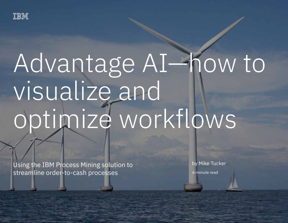

# Advantage AI—how to visualize and optimize workflows

 $U$ sing the IBM  $P$  rocesses  $M$   $\rightarrow$  streamline order-to-cash processes  $1$ 

Using the IBM Process Mining solution to streamline order-to-cash processes

6-minute read by Mike Tucker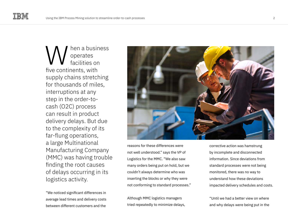hen a business operates facilities on five continents, with supply chains stretching for thousands of miles, interruptions at any step in the order-tocash (O2C) process can result in product delivery delays. But due to the complexity of its far-flung operations, a large Multinational Manufacturing Company (MMC) was having trouble finding the root causes of delays occurring in its logistics activity. W

"We noticed significant differences in average lead times and delivery costs between different customers and the



reasons for these differences were not well understood." says the VP of Logistics for the MMC. "We also saw many orders being put on hold, but we couldn't always determine who was inserting the blocks or why they were not conforming to standard processes."

Although MMC logistics managers tried repeatedly to minimize delays,

corrective action was hamstrung by incomplete and disconnected information. Since deviations from standard processes were not being monitored, there was no way to understand how these deviations impacted delivery schedules and costs.

"Until we had a better view on where and why delays were being put in the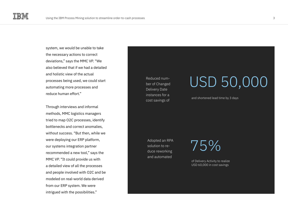system, we would be unable to take the necessary actions to correct deviations," says the MMC VP. "We also believed that if we had a detailed and holistic view of the actual processes being used, we could start automating more processes and reduce human effort."

Through interviews and informal methods, MMC logistics managers tried to map O2C processes, identify bottlenecks and correct anomalies, without success. "But then, while we were deploying our ERP platform, our systems integration partner recommended a new tool," says the MMC VP. "It could provide us with a detailed view of all the processes and people involved with O2C and be modeled on real-world data derived from our ERP system. We were intrigued with the possibilities."

Reduced number of Changed Delivery Date instances for a cost savings of

### USD 50,000

and shortened lead time by 3 days

Adopted an RPA solution to reduce reworking and automated

75%

of Delivery Activity to realize USD 60,000 in cost savings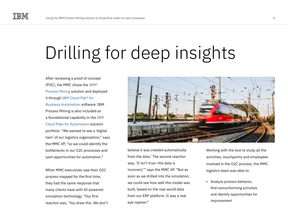## Drilling for deep insights

After reviewing a proof of concept (POC), the MMC chose the [IBM®](https://www.ibm.com/cloud/cloud-pak-for-business-automation/process-mining)  [Process Mining](https://www.ibm.com/cloud/cloud-pak-for-business-automation/process-mining) solution and deployed it through [IBM Cloud Pak® for](https://www.ibm.com/cloud/cloud-pak-for-business-automation)  [Business Automation](https://www.ibm.com/cloud/cloud-pak-for-business-automation) software. IBM Process Mining is also included as a foundational capability in the [IBM](https://www.ibm.com/cloud/automation)  [Cloud Paks for Automation](https://www.ibm.com/cloud/automation) solution portfolio. "We wanted to see a 'digital twin' of our logistics organization," says the MMC VP, "so we could identify the bottlenecks in our O2C processes and spot opportunities for automation."

When MMC executives saw their O2C process mapped for the first time, they had the same response that many clients have with AI-powered simulation technology. "Our first reaction was, 'You drew this. We don't



believe it was created automatically from the data.' The second reaction was, 'It isn't true—the data is incorrect,'" says the MMC VP. "But as soon as we drilled into the simulation, we could see how well this model was built, based on the real-world data from our ERP platform. It was a real eye-opener."

Working with the tool to study all the activities, touchpoints and employees involved in the O2C process, the MMC logistics team was able to:

• Analyze process behavior, find nonconforming activities and identify opportunities for improvement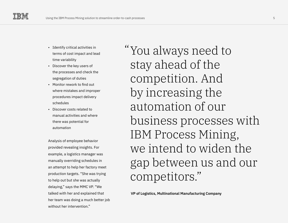- Identify critical activities in terms of cost impact and lead time variability
- Discover the key users of the processes and check the segregation of duties
- Monitor rework to find out where mistakes and improper procedures impact delivery schedules
- Discover costs related to manual activities and where there was potential for automation

Analysis of employee behavior provided revealing insights. For example, a logistics manager was manually overriding schedules in an attempt to help her factory meet production targets. "She was trying to help out but she was actually delaying," says the MMC VP. "We talked with her and explained that her team was doing a much better job without her intervention."

You always need to " stay ahead of the competition. And by increasing the automation of our business processes with IBM Process Mining, we intend to widen the gap between us and our competitors."

**VP of Logistics, Multinational Manufacturing Company**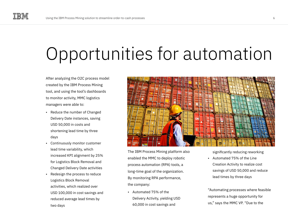## Opportunities for automation

After analyzing the O2C process model created by the IBM Process Mining tool, and using the tool's dashboards to monitor activity, MMC logistics managers were able to:

- Reduce the number of Changed Delivery Date instances, saving USD 50,000 in costs and shortening lead time by three days
- Continuously monitor customer lead time variability, which increased KPI alignment by 25% for Logistics Block Removal and Changed Delivery Date activities
- Redesign the process to reduce Logistics Block Removal activities, which realized over USD 100,000 in cost savings and reduced average lead times by two days



The IBM Process Mining platform also enabled the MMC to deploy robotic process automation (RPA) tools, a long-time goal of the organization. By monitoring RPA performance, the company:

• Automated 75% of the Delivery Activity, yielding USD 60,000 in cost savings and

significantly reducing reworking

• Automated 75% of the Line Creation Activity to realize cost savings of USD 50,000 and reduce lead times by three days

"Automating processes where feasible represents a huge opportunity for us," says the MMC VP. "Due to the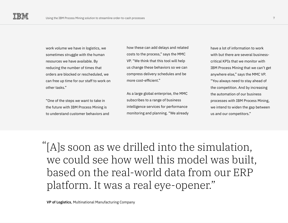work volume we have in logistics, we sometimes struggle with the human resources we have available. By reducing the number of times that orders are blocked or rescheduled, we can free up time for our staff to work on other tasks."

"One of the steps we want to take in the future with IBM Process Mining is to understand customer behaviors and

how these can add delays and related costs to the process," says the MMC VP. "We think that this tool will help us change these behaviors so we can compress delivery schedules and be more cost-efficient."

As a large global enterprise, the MMC subscribes to a range of business intelligence services for performance monitoring and planning. "We already have a lot of information to work with but there are several businesscritical KPIs that we monitor with IBM Process Mining that we can't get anywhere else," says the MMC VP. "You always need to stay ahead of the competition. And by increasing the automation of our business processes with IBM Process Mining, we intend to widen the gap between us and our competitors."

[A]s soon as we drilled into the simulation, "we could see how well this model was built, based on the real-world data from our ERP platform. It was a real eye-opener."